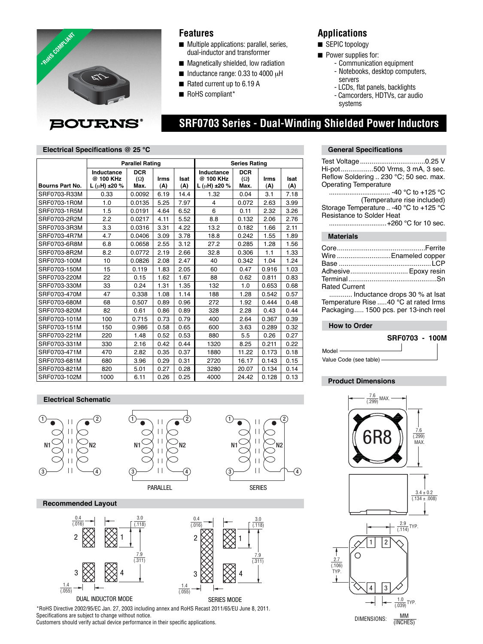

# **Features**

- Multiple applications: parallel, series, dual-inductor and transformer
- Magnetically shielded, low radiation
- $\blacksquare$  Inductance range: 0.33 to 4000  $\mu$ H
- Rated current up to 6.19 A
- RoHS compliant\*

# **Applications**

■ SEPIC topology

 **SRF0703 Series - Dual-Winding Shielded Power Inductors**

 $\left( 4\right)$ 

- Power supplies for:
	- Communication equipment
		- Notebooks, desktop computers, servers
	- LCDs, flat panels, backlights
	- Camcorders, HDTVs, car audio systems

## **Electrical Specifications @ 25 °C**

|                        | <b>Parallel Rating</b>                          |                                  |                    |             | <b>Series Rating</b>                            |                                  |                    |                    |
|------------------------|-------------------------------------------------|----------------------------------|--------------------|-------------|-------------------------------------------------|----------------------------------|--------------------|--------------------|
| <b>Bourns Part No.</b> | Inductance<br>@ 100 KHz<br>$L(\mu H) \pm 20 \%$ | <b>DCR</b><br>$(\Omega)$<br>Max. | <b>Irms</b><br>(A) | Isat<br>(A) | Inductance<br>@ 100 KHz<br>$L(\mu H) \pm 20 \%$ | <b>DCR</b><br>$(\Omega)$<br>Max. | <b>Irms</b><br>(A) | <b>Isat</b><br>(A) |
| SRF0703-R33M           | 0.33                                            | 0.0092                           | 6.19               | 14.4        | 1.32                                            | 0.04                             | 3.1                | 7.18               |
| SRF0703-1R0M           | 1.0                                             | 0.0135                           | 5.25               | 7.97        | 4                                               | 0.072                            | 2.63               | 3.99               |
| SRF0703-1R5M           | 1.5                                             | 0.0191                           | 4.64               | 6.52        | 6                                               | 0.11                             | 2.32               | 3.26               |
| SRF0703-2R2M           | 2.2                                             | 0.0217                           | 4.11               | 5.52        | 8.8                                             | 0.132                            | 2.06               | 2.76               |
| SRF0703-3R3M           | 3.3                                             | 0.0316                           | 3.31               | 4.22        | 13.2                                            | 0.182                            | 1.66               | 2.11               |
| SRF0703-4R7M           | 4.7                                             | 0.0406                           | 3.09               | 3.78        | 18.8                                            | 0.242                            | 1.55               | 1.89               |
| SRF0703-6R8M           | 6.8                                             | 0.0658                           | 2.55               | 3.12        | 27.2                                            | 0.285                            | 1.28               | 1.56               |
| SRF0703-8R2M           | 8.2                                             | 0.0772                           | 2.19               | 2.66        | 32.8                                            | 0.306                            | 1.1                | 1.33               |
| SRF0703-100M           | 10                                              | 0.0826                           | 2.08               | 2.47        | 40                                              | 0.342                            | 1.04               | 1.24               |
| SRF0703-150M           | 15                                              | 0.119                            | 1.83               | 2.05        | 60                                              | 0.47                             | 0.916              | 1.03               |
| SRF0703-220M           | 22                                              | 0.15                             | 1.62               | 1.67        | 88                                              | 0.62                             | 0.811              | 0.83               |
| SRF0703-330M           | 33                                              | 0.24                             | 1.31               | 1.35        | 132                                             | 1.0                              | 0.653              | 0.68               |
| SRF0703-470M           | 47                                              | 0.338                            | 1.08               | 1.14        | 188                                             | 1.28                             | 0.542              | 0.57               |
| SRF0703-680M           | 68                                              | 0.507                            | 0.89               | 0.96        | 272                                             | 1.92                             | 0.444              | 0.48               |
| SRF0703-820M           | 82                                              | 0.61                             | 0.86               | 0.89        | 328                                             | 2.28                             | 0.43               | 0.44               |
| SRF0703-101M           | 100                                             | 0.715                            | 0.73               | 0.79        | 400                                             | 2.64                             | 0.367              | 0.39               |
| SRF0703-151M           | 150                                             | 0.986                            | 0.58               | 0.65        | 600                                             | 3.63                             | 0.289              | 0.32               |
| SRF0703-221M           | 220                                             | 1.48                             | 0.52               | 0.53        | 880                                             | 5.5                              | 0.26               | 0.27               |
| SRF0703-331M           | 330                                             | 2.16                             | 0.42               | 0.44        | 1320                                            | 8.25                             | 0.211              | 0.22               |
| SRF0703-471M           | 470                                             | 2.82                             | 0.35               | 0.37        | 1880                                            | 11.22                            | 0.173              | 0.18               |
| SRF0703-681M           | 680                                             | 3.96                             | 0.29               | 0.31        | 2720                                            | 16.17                            | 0.143              | 0.15               |
| SRF0703-821M           | 820                                             | 5.01                             | 0.27               | 0.28        | 3280                                            | 20.07                            | 0.134              | 0.14               |
| SRF0703-102M           | 1000                                            | 6.11                             | 0.26               | 0.25        | 4000                                            | 24.42                            | 0.128              | 0.13               |

### **Electrical Schematic**



\*RoHS Directive 2002/95/EC Jan. 27, 2003 including annex and RoHS Recast 2011/65/EU June 8, 2011. Specifications are subject to change without notice. Customers should verify actual device performance in their specific applications.

#### **General Specifications**

| Hi-pot500 Vrms, 3 mA, 3 sec.           |
|----------------------------------------|
| Reflow Soldering  230 °C; 50 sec. max. |
| <b>Operating Temperature</b>           |
| -40 °C to +125 °C                      |
| (Temperature rise included)            |
| Storage Temperature  -40 °C to +125 °C |
| Resistance to Solder Heat              |
| +260 °C for 10 sec.                    |
| <b>Materials</b>                       |

|                      | Wire Enameled copper           |
|----------------------|--------------------------------|
|                      |                                |
|                      | Adhesive Epoxy resin           |
|                      |                                |
| <b>Rated Current</b> |                                |
|                      | Industance draps 20.0/ of loot |

 ............ Inductance drops 30 % at Isat Temperature Rise .....40 °C at rated Irms Packaging ..... 1500 pcs. per 13-inch reel

#### **How to Order**



## **Product Dimensions**